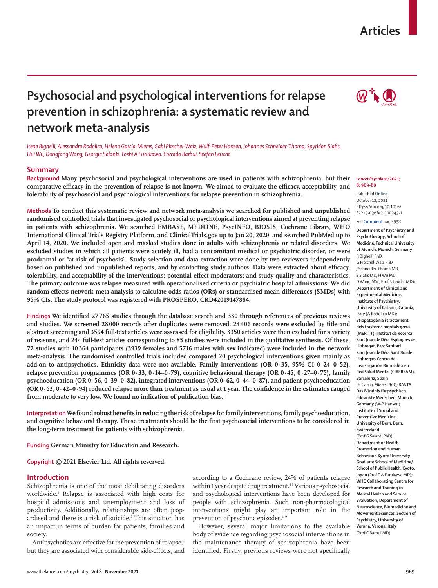## **Articles**



# **Psychosocial and psychological interventions for relapse prevention in schizophrenia: a systematic review and network meta-analysis**

*Irene Bighelli, Alessandro Rodolico, Helena García-Mieres, Gabi Pitschel-Walz, Wulf-Peter Hansen, Johannes Schneider-Thoma, Spyridon Siafis, Hui Wu, Dongfang Wang, Georgia Salanti, Toshi A Furukawa, Corrado Barbui, Stefan Leucht*

## **Summary**

**Background Many psychosocial and psychological interventions are used in patients with schizophrenia, but their comparative efficacy in the prevention of relapse is not known. We aimed to evaluate the efficacy, acceptability, and tolerability of psychosocial and psychological interventions for relapse prevention in schizophrenia.**

**Methods To conduct this systematic review and network meta-analysis we searched for published and unpublished randomised controlled trials that investigated psychosocial or psychological interventions aimed at preventing relapse in patients with schizophrenia. We searched EMBASE, MEDLINE, PsycINFO, BIOSIS, Cochrane Library, WHO International Clinical Trials Registry Platform, and ClinicalTrials.gov up to Jan 20, 2020, and searched PubMed up to April 14, 2020. We included open and masked studies done in adults with schizophrenia or related disorders. We excluded studies in which all patients were acutely ill, had a concomitant medical or psychiatric disorder, or were prodromal or "at risk of psychosis''. Study selection and data extraction were done by two reviewers independently based on published and unpublished reports, and by contacting study authors. Data were extracted about efficacy, tolerability, and acceptability of the interventions; potential effect moderators; and study quality and characteristics. The primary outcome was relapse measured with operationalised criteria or psychiatric hospital admissions. We did random-effects network meta-analysis to calculate odds ratios (ORs) or standardised mean differences (SMDs) with 95% CIs. The study protocol was registered with PROSPERO, CRD42019147884.**

**Findings We identified 27765 studies through the database search and 330 through references of previous reviews and studies. We screened 28000 records after duplicates were removed. 24406 records were excluded by title and abstract screening and 3594 full-text articles were assessed for eligibility. 3350 articles were then excluded for a variety of reasons, and 244 full-text articles corresponding to 85 studies were included in the qualitative synthesis. Of these, 72 studies with 10364 participants (3939 females and 5716 males with sex indicated) were included in the network meta-analysis. The randomised controlled trials included compared 20 psychological interventions given mainly as add-on to antipsychotics. Ethnicity data were not available. Family interventions (OR 0·35, 95% CI 0·24–0·52), relapse prevention programmes (OR 0·33, 0·14–0·79), cognitive behavioural therapy (OR 0·45, 0·27–0·75), family psychoeducation (OR 0·56, 0·39–0·82), integrated interventions (OR 0·62, 0·44–0·87), and patient psychoeducation (OR 0·63, 0·42–0·94) reduced relapse more than treatment as usual at 1 year. The confidence in the estimates ranged from moderate to very low. We found no indication of publication bias.**

**Interpretation We found robust benefits in reducing the risk of relapse for family interventions, family psychoeducation, and cognitive behavioral therapy. These treatments should be the first psychosocial interventions to be considered in the long-term treatment for patients with schizophrenia.**

**Funding German Ministry for Education and Research.**

**Copyright © 2021 Elsevier Ltd. All rights reserved.**

## **Introduction**

Schizophrenia is one of the most debilitating disorders worldwide.1 Relapse is associated with high costs for hospital admissions and unemployment and loss of productivity. Additionally, relationships are often jeopardised and there is a risk of suicide.<sup>2</sup> This situation has an impact in terms of burden for patients, families and society.

Antipsychotics are effective for the prevention of relapse,<sup>3</sup> but they are associated with considerable side-effects, and according to a Cochrane review, 24% of patients relapse within 1 year despite drug treatment.<sup>4,5</sup> Various psychosocial and psychological interventions have been developed for people with schizophrenia. Such non-pharmacological interventions might play an important role in the prevention of psychotic episodes.<sup>6-9</sup>

However, several major limitations to the available body of evidence regarding psychosocial interventions in the maintenance therapy of schizophrenia have been identified. Firstly, previous reviews were not specifically

#### *Lancet Psychiatry* **2021; 8: 969–80**

Published **Online** October 12, 2021 https://doi.org/10.1016/ S2215-0366(21)00243-1

See **Comment** page 938

**Department of Psychiatry and Psychotherapy, School of Medicine, Technical University of Munich, Munich, Germany** (I Bighelli PhD, G Pitschel-Walz PhD, J Schneider-Thoma MD, S Siafis MD, H Wu MD, D Wang MSc, Prof S Leucht MD)**; Department of Clinical and Experimental Medicine, Institute of Psychiatry, University of Catania, Catania, Italy** (A Rodolico MD)**; Etiopatogènia i tractament dels trastorns mentals greus (MERITT), Institut de Recerca Sant Joan de Déu, Esplugues de Llobregat. Parc Sanitari Sant Joan de Déu, Sant Boi de Llobregat. Centro de Investigación Biomédica en Red Salud Mental (CIBERSAM), Barcelona, Spain** (H García-Mieres PhD)**; BASTA-Das Bündnis für psychisch erkrankte Menschen, Munich, Germany** (W-P Hansen) **Institute of Social and Preventive Medicine, University of Bern, Bern, Switzerland** (Prof G Salanti PhD)**; Department of Health Promotion and Human Behaviour, Kyoto University Graduate School of Medicine/ School of Public Health, Kyoto, Japan** (Prof T A Furukawa MD)**; WHO Collaborating Centre for Research and Training in Mental Health and Service Evaluation, Department of Neuroscience, Biomedicine and Movement Sciences, Section of Psychiatry, University of Verona, Verona, Italy** (Prof C Barbui MD)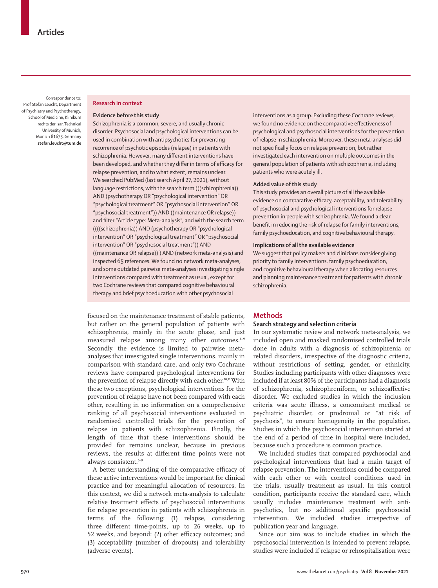Correspondence to: Prof Stefan Leucht, Department of Psychiatry and Psychotherapy, School of Medicine, Klinikum rechts der Isar, Technical University of Munich, Munich 81675, Germany **stefan.leucht@tum.de**

## **Research in context**

## **Evidence before this study**

Schizophrenia is a common, severe, and usually chronic disorder. Psychosocial and psychological interventions can be used in combination with antipsychotics for preventing recurrence of psychotic episodes (relapse) in patients with schizophrenia. However, many different interventions have been developed, and whether they differ in terms of efficacy for relapse prevention, and to what extent, remains unclear. We searched PubMed (last search April 27, 2021), without language restrictions, with the search term (((schizophrenia)) AND (psychotherapy OR "psychological intervention" OR "psychological treatment" OR "psychosocial intervention" OR "psychosocial treatment")) AND ((maintenance OR relapse)) and filter "Article type: Meta-analysis", and with the search term ((((schizophrenia)) AND (psychotherapy OR "psychological intervention" OR "psychological treatment" OR "psychosocial intervention" OR "psychosocial treatment")) AND ((maintenance OR relapse)) ) AND (network meta-analysis) and inspected 65 references. We found no network meta-analyses, and some outdated pairwise meta-analyses investigating single interventions compared with treatment as usual, except for two Cochrane reviews that compared cognitive behavioural therapy and brief psychoeducation with other psychosocial

interventions as a group. Excluding these Cochrane reviews, we found no evidence on the comparative effectiveness of psychological and psychosocial interventions for the prevention of relapse in schizophrenia. Moreover, these meta-analyses did not specifically focus on relapse prevention, but rather investigated each intervention on multiple outcomes in the general population of patients with schizophrenia, including patients who were acutely ill.

#### **Added value of this study**

This study provides an overall picture of all the available evidence on comparative efficacy, acceptability, and tolerability of psychosocial and psychological interventions for relapse prevention in people with schizophrenia. We found a clear benefit in reducing the risk of relapse for family interventions, family psychoeducation, and cognitive behavioural therapy.

#### **Implications of all the available evidence**

We suggest that policy makers and clinicians consider giving priority to family interventions, family psychoeducation, and cognitive behavioural therapy when allocating resources and planning maintenance treatment for patients with chronic schizophrenia.

focused on the maintenance treatment of stable patients, but rather on the general population of patients with schizophrenia, mainly in the acute phase, and just measured relapse among many other outcomes.<sup>6-9</sup> Secondly, the evidence is limited to pairwise metaanalyses that investigated single interventions, mainly in comparison with standard care, and only two Cochrane reviews have compared psychological interventions for the prevention of relapse directly with each other.10,11 With these two exceptions, psychological interventions for the prevention of relapse have not been compared with each other, resulting in no information on a comprehensive ranking of all psychosocial interventions evaluated in randomised controlled trials for the prevention of relapse in patients with schizophrenia. Finally, the length of time that these interventions should be provided for remains unclear, because in previous reviews, the results at different time points were not always consistent.<sup>6-9</sup>

A better understanding of the comparative efficacy of these active interventions would be important for clinical practice and for meaningful allocation of resources. In this context, we did a network meta-analysis to calculate relative treatment effects of psychosocial interventions for relapse prevention in patients with schizophrenia in terms of the following: (1) relapse, considering three different time-points, up to 26 weeks, up to 52 weeks, and beyond; (2) other efficacy outcomes; and (3) acceptability (number of dropouts) and tolerability (adverse events).

## **Methods**

## **Search strategy and selection criteria**

In our systematic review and network meta-analysis, we included open and masked randomised controlled trials done in adults with a diagnosis of schizophrenia or related disorders, irrespective of the diagnostic criteria, without restrictions of setting, gender, or ethnicity. Studies including participants with other diagnoses were included if at least 80% of the participants had a diagnosis of schizophrenia, schizophreniform, or schizoaffective disorder. We excluded studies in which the inclusion criteria was acute illness, a concomitant medical or psychiatric disorder, or prodromal or "at risk of psychosis", to ensure homogeneity in the population. Studies in which the psychosocial intervention started at the end of a period of time in hospital were included, because such a procedure is common practice.

We included studies that compared psychosocial and psychological interventions that had a main target of relapse prevention. The interventions could be compared with each other or with control conditions used in the trials, usually treatment as usual. In this control condition, participants receive the standard care, which usually includes maintenance treatment with antipsychotics, but no additional specific psychosocial intervention. We included studies irrespective of publication year and language.

Since our aim was to include studies in which the psychosocial intervention is intended to prevent relapse, studies were included if relapse or rehospitalisation were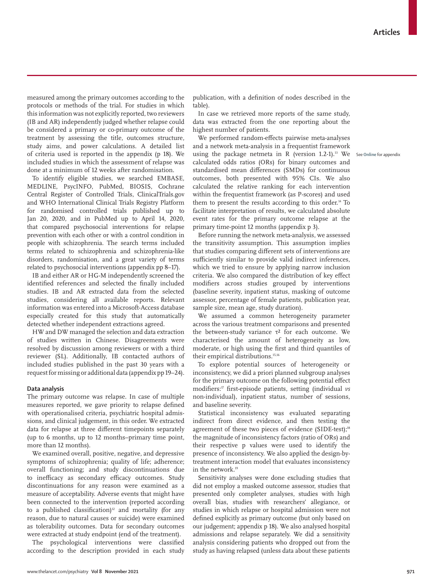measured among the primary outcomes according to the protocols or methods of the trial. For studies in which this information was not explicitly reported, two reviewers (IB and AR) independently judged whether relapse could be considered a primary or co-primary outcome of the treatment by assessing the title, outcomes structure, study aims, and power calculations. A detailed list of criteria used is reported in the appendix (p 18). We included studies in which the assessment of relapse was done at a minimum of 12 weeks after randomisation.

To identify eligible studies, we searched EMBASE, MEDLINE, PsycINFO, PubMed, BIOSIS, Cochrane Central Register of Controlled Trials, ClinicalTrials.gov and WHO International Clinical Trials Registry Platform for randomised controlled trials published up to Jan 20, 2020, and in PubMed up to April 14, 2020, that compared psychosocial interventions for relapse prevention with each other or with a control condition in people with schizophrenia. The search terms included terms related to schizophrenia and schizophrenia-like disorders, randomisation, and a great variety of terms related to psychosocial interventions (appendix pp 8–17).

IB and either AR or HG-M independently screened the identified references and selected the finally included studies. IB and AR extracted data from the selected studies, considering all available reports. Relevant information was entered into a Microsoft-Access database especially created for this study that automatically detected whether independent extractions agreed.

HW and DW managed the selection and data extraction of studies written in Chinese. Disagreements were resolved by discussion among reviewers or with a third reviewer (SL). Additionally, IB contacted authors of included studies published in the past 30 years with a request for missing or additional data (appendix pp 19–24).

## **Data analysis**

The primary outcome was relapse. In case of multiple measures reported, we gave priority to relapse defined with operationalised criteria, psychiatric hospital admissions, and clinical judgement, in this order. We extracted data for relapse at three different timepoints separately (up to 6 months, up to 12 months–primary time point, more than 12 months).

We examined overall, positive, negative, and depressive symptoms of schizophrenia; quality of life; adherence; overall functioning; and study discontinuations due to inefficacy as secondary efficacy outcomes. Study discontinuations for any reason were examined as a measure of acceptability. Adverse events that might have been connected to the intervention (reported according to a published classification)<sup>12</sup> and mortality (for any reason, due to natural causes or suicide) were examined as tolerability outcomes. Data for secondary outcomes were extracted at study endpoint (end of the treatment).

The psychological interventions were classified according to the description provided in each study publication, with a definition of nodes described in the table).

In case we retrieved more reports of the same study, data was extracted from the one reporting about the highest number of patients.

We performed random-effects pairwise meta-analyses and a network meta-analysis in a frequentist framework using the package netmeta in R (version 1.2-1).<sup>13</sup> We See Online for appendix calculated odds ratios (ORs) for binary outcomes and standardised mean differences (SMDs) for continuous outcomes, both presented with 95% CIs. We also calculated the relative ranking for each intervention within the frequentist framework (as P-scores) and used them to present the results according to this order.<sup>14</sup> To facilitate interpretation of results, we calculated absolute event rates for the primary outcome relapse at the primary time-point 12 months (appendix p 3).

Before running the network meta-analysis, we assessed the transitivity assumption. This assumption implies that studies comparing different sets of interventions are sufficiently similar to provide valid indirect inferences, which we tried to ensure by applying narrow inclusion criteria. We also compared the distribution of key effect modifiers across studies grouped by interventions (baseline severity, inpatient status, masking of outcome assessor, percentage of female patients, publication year, sample size, mean age, study duration).

We assumed a common heterogeneity parameter across the various treatment comparisons and presented the between-study variance  $τ²$  for each outcome. We characterised the amount of heterogeneity as low, moderate, or high using the first and third quantiles of their empirical distributions.<sup>15,16</sup>

To explore potential sources of heterogeneity or inconsistency, we did a priori planned subgroup analyses for the primary outcome on the following potential effect modifiers:17 first-episode patients, setting (individual *vs*  non-individual), inpatient status, number of sessions, and baseline severity.

Statistical inconsistency was evaluated separating indirect from direct evidence, and then testing the agreement of these two pieces of evidence (SIDE-test);<sup>18</sup> the magnitude of inconsistency factors (ratio of ORs) and their respective p values were used to identify the presence of inconsistency. We also applied the design-bytreatment interaction model that evaluates inconsistency in the network<sup>19</sup>

Sensitivity analyses were done excluding studies that did not employ a masked outcome assessor, studies that presented only completer analyses, studies with high overall bias, studies with researchers' allegiance, or studies in which relapse or hospital admission were not defined explicitly as primary outcome (but only based on our judgement; appendix p 18). We also analysed hospital admissions and relapse separately. We did a sensitivity analysis considering patients who dropped out from the study as having relapsed (unless data about these patients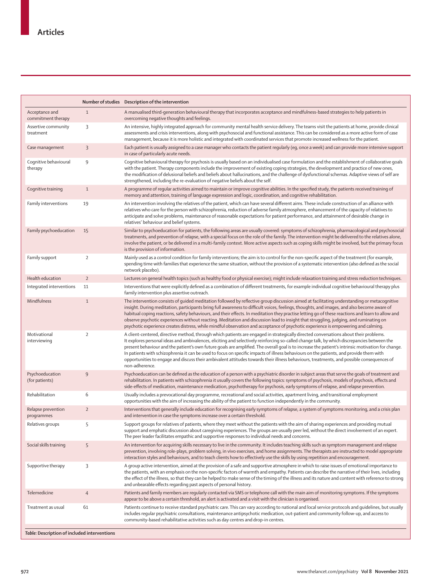|                                              |                | Number of studies Description of the intervention                                                                                                                                                                                                                                                                                                                                                                                                                                                                                                                                                                                                                                                                                                     |  |  |  |  |  |  |  |  |
|----------------------------------------------|----------------|-------------------------------------------------------------------------------------------------------------------------------------------------------------------------------------------------------------------------------------------------------------------------------------------------------------------------------------------------------------------------------------------------------------------------------------------------------------------------------------------------------------------------------------------------------------------------------------------------------------------------------------------------------------------------------------------------------------------------------------------------------|--|--|--|--|--|--|--|--|
| Acceptance and<br>commitment therapy         | $\mathbf{1}$   | A manualised third-generation behavioural therapy that incorporates acceptance and mindfulness-based strategies to help patients in<br>overcoming negative thoughts and feelings.                                                                                                                                                                                                                                                                                                                                                                                                                                                                                                                                                                     |  |  |  |  |  |  |  |  |
| Assertive community<br>treatment             | 3              | An intensive, highly integrated approach for community mental health service delivery. The teams visit the patients at home, provide clinical<br>assessments and crisis interventions, along with psychosocial and functional assistance. This can be considered as a more active form of case<br>management, because it is more holistic and integrated with coordinated services that promote increased wellness for the patient.                                                                                                                                                                                                                                                                                                                   |  |  |  |  |  |  |  |  |
| Case management                              | 3              | Each patient is usually assigned to a case manager who contacts the patient regularly (eg, once a week) and can provide more intensive support<br>in case of particularly acute needs.                                                                                                                                                                                                                                                                                                                                                                                                                                                                                                                                                                |  |  |  |  |  |  |  |  |
| Cognitive behavioural<br>therapy             | $\overline{9}$ | Cognitive behavioural therapy for psychosis is usually based on an individualised case formulation and the establishment of collaborative goals<br>with the patient. Therapy components include the improvement of existing coping strategies, the development and practice of new ones,<br>the modification of delusional beliefs and beliefs about hallucinations, and the challenge of dysfunctional schemas. Adaptive views of self are<br>strengthened, including the re-evaluation of negative beliefs about the self.                                                                                                                                                                                                                          |  |  |  |  |  |  |  |  |
| Cognitive training                           | $\mathbf{1}$   | A programme of regular activities aimed to maintain or improve cognitive abilities. In the specified study, the patients received training of<br>memory and attention, training of language expression and logic, coordination, and cognitive rehabilitation.                                                                                                                                                                                                                                                                                                                                                                                                                                                                                         |  |  |  |  |  |  |  |  |
| Family interventions                         | 19             | An intervention involving the relatives of the patient, which can have several different aims. These include construction of an alliance with<br>relatives who care for the person with schizophrenia, reduction of adverse family atmosphere, enhancement of the capacity of relatives to<br>anticipate and solve problems, maintenance of reasonable expectations for patient performance, and attainment of desirable change in<br>relatives' behaviour and belief systems.                                                                                                                                                                                                                                                                        |  |  |  |  |  |  |  |  |
| Family psychoeducation                       | 15             | Similar to psychoeducation for patients, the following areas are usually covered: symptoms of schizophrenia, pharmacological and psychosocial<br>treatments, and prevention of relapse, with a special focus on the role of the family. The intervention might be delivered to the relatives alone,<br>involve the patient, or be delivered in a multi-family context. More active aspects such as coping skills might be involved, but the primary focus<br>is the provision of information.                                                                                                                                                                                                                                                         |  |  |  |  |  |  |  |  |
| Family support                               | $\sqrt{2}$     | Mainly used as a control condition for family interventions; the aim is to control for the non-specific aspect of the treatment (for example,<br>spending time with families that experience the same situation, without the provision of a systematic intervention (also defined as the social<br>network placebo).                                                                                                                                                                                                                                                                                                                                                                                                                                  |  |  |  |  |  |  |  |  |
| Health education                             | $\overline{2}$ | Lectures on general health topics (such as healthy food or physical exercise); might include relaxation training and stress reduction techniques.                                                                                                                                                                                                                                                                                                                                                                                                                                                                                                                                                                                                     |  |  |  |  |  |  |  |  |
| Integrated interventions                     | 11             | Interventions that were explicitly defined as a combination of different treatments, for example individual cognitive behavioural therapy plus<br>family intervention plus assertive outreach.                                                                                                                                                                                                                                                                                                                                                                                                                                                                                                                                                        |  |  |  |  |  |  |  |  |
| Mindfulness                                  | $1\,$          | The intervention consists of quided meditation followed by reflective group discussion aimed at facilitating understanding or metacognitive<br>insight. During meditation, participants bring full awareness to difficult voices, feelings, thoughts, and images, and also become aware of<br>habitual coping reactions, safety behaviours, and their effects. In meditation they practise letting go of these reactions and learn to allow and<br>observe psychotic experiences without reacting. Meditation and discussion lead to insight that struggling, judging, and ruminating on<br>psychotic experience creates distress, while mindful observation and acceptance of psychotic experience is empowering and calming.                        |  |  |  |  |  |  |  |  |
| Motivational<br>interviewing                 | $\sqrt{2}$     | A client-centered, directive method, through which patients are engaged in strategically directed conversations about their problems.<br>It explores personal ideas and ambivalences, eliciting and selectively reinforcing so-called change talk, by which discrepancies between the<br>present behaviour and the patient's own future goals are amplified. The overall goal is to increase the patient's intrinsic motivation for change.<br>In patients with schizophrenia it can be used to focus on specific impacts of illness behaviours on the patients, and provide them with<br>opportunities to engage and discuss their ambivalent attitudes towards their illness behaviours, treatments, and possible consequences of<br>non-adherence. |  |  |  |  |  |  |  |  |
| Psychoeducation<br>(for patients)            | 9              | Psychoeducation can be defined as the education of a person with a psychiatric disorder in subject areas that serve the goals of treatment and<br>rehabilitation. In patients with schizophrenia it usually covers the following topics: symptoms of psychosis, models of psychosis, effects and<br>side-effects of medication, maintenance medication, psychotherapy for psychosis, early symptoms of relapse, and relapse prevention.                                                                                                                                                                                                                                                                                                               |  |  |  |  |  |  |  |  |
| Rehabilitation                               | 6              | Usually includes a prevocational day programme, recreational and social activities, apartment living, and transitional employment<br>opportunities with the aim of increasing the ability of the patient to function independently in the community.                                                                                                                                                                                                                                                                                                                                                                                                                                                                                                  |  |  |  |  |  |  |  |  |
| Relapse prevention<br>programmes             | $\overline{2}$ | Interventions that generally include education for recognising early symptoms of relapse, a system of symptoms monitoring, and a crisis plan<br>and intervention in case the symptoms increase over a certain threshold.                                                                                                                                                                                                                                                                                                                                                                                                                                                                                                                              |  |  |  |  |  |  |  |  |
| Relatives groups                             | 5              | Support groups for relatives of patients, where they meet without the patients with the aim of sharing experiences and providing mutual<br>support and emphatic discussion about caregiving experiences. The groups are usually peer led, without the direct involvement of an expert.<br>The peer leader facilitates empathic and supportive responses to individual needs and concerns.                                                                                                                                                                                                                                                                                                                                                             |  |  |  |  |  |  |  |  |
| Social skills training                       | 5              | An intervention for acquiring skills necessary to live in the community. It includes teaching skills such as symptom management and relapse<br>prevention, involving role-plays, problem solving, in vivo exercises, and home assignments. The therapists are instructed to model appropriate<br>interaction styles and behaviours, and to teach clients how to effectively use the skills by using repetition and encouragement.                                                                                                                                                                                                                                                                                                                     |  |  |  |  |  |  |  |  |
| Supportive therapy                           | 3              | A group active intervention, aimed at the provision of a safe and supportive atmosphere in which to raise issues of emotional importance to<br>the patients, with an emphasis on the non-specific factors of warmth and empathy. Patients can describe the narrative of their lives, including<br>the effect of the illness, so that they can be helped to make sense of the timing of the illness and its nature and content with reference to strong<br>and unbearable effects regarding past aspects of personal history.                                                                                                                                                                                                                          |  |  |  |  |  |  |  |  |
| Telemedicine                                 | $\overline{4}$ | Patients and family members are regularly contacted via SMS or telephone call with the main aim of monitoring symptoms. If the symptoms<br>appear to be above a certain threshold, an alert is activated and a visit with the clinician is organised.                                                                                                                                                                                                                                                                                                                                                                                                                                                                                                 |  |  |  |  |  |  |  |  |
| Treatment as usual                           | 61             | Patients continue to receive standard psychiatric care. This can vary according to national and local service protocols and quidelines, but usually<br>includes reqular psychiatric consultations, maintenance antipsychotic medication, out-patient and community follow-up, and access to<br>community-based rehabilitative activities such as day centres and drop-in centres.                                                                                                                                                                                                                                                                                                                                                                     |  |  |  |  |  |  |  |  |
| Table: Description of included interventions |                |                                                                                                                                                                                                                                                                                                                                                                                                                                                                                                                                                                                                                                                                                                                                                       |  |  |  |  |  |  |  |  |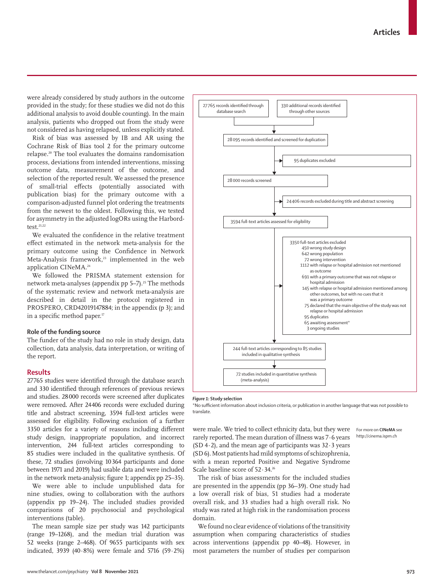www.thelancet.com/psychiatry **Vol 8 November 2021 973**

were already considered by study authors in the outcome provided in the study; for these studies we did not do this additional analysis to avoid double counting). In the main analysis, patients who dropped out from the study were not considered as having relapsed, unless explicitly stated.

Risk of bias was assessed by IB and AR using the Cochrane Risk of Bias tool 2 for the primary outcome relapse.20 The tool evaluates the domains randomisation process, deviations from intended interventions, missing outcome data, measurement of the outcome, and selection of the reported result. We assessed the presence of small-trial effects (potentially associated with publication bias) for the primary outcome with a comparison-adjusted funnel plot ordering the treatments from the newest to the oldest. Following this, we tested for asymmetry in the adjusted logORs using the Harbordtest. $21,22$ 

We evaluated the confidence in the relative treatment effect estimated in the network meta-analysis for the primary outcome using the Confidence in Network Meta-Analysis framework,<sup>23</sup> implemented in the web application CINeMA. 24

We followed the PRISMA statement extension for network meta-analyses (appendix pp 5–7).<sup>25</sup> The methods of the systematic review and network meta-analysis are described in detail in the protocol registered in PROSPERO, CRD42019147884; in the appendix (p 3); and in a specific method paper.<sup>17</sup>

## **Role of the funding source**

The funder of the study had no role in study design, data collection, data analysis, data interpretation, or writing of the report.

## **Results**

27765 studies were identified through the database search and 330 identified through references of previous reviews and studies. 28000 records were screened after duplicates were removed**.** After 24406 records were excluded during title and abstract screening, 3594 full-text articles were assessed for eligibility. Following exclusion of a further 3350 articles for a variety of reasons including different study design, inappropriate population, and incorrect intervention, 244 full-text articles corresponding to 85 studies were included in the qualitative synthesis. Of these, 72 studies (involving 10364 participants and done between 1971 and 2019) had usable data and were included in the network meta-analysis; figure 1; appendix pp 25–35).

We were able to include unpublished data for nine studies, owing to collaboration with the authors (appendix pp 19–24). The included studies provided comparisons of 20 psychosocial and psychological interventions (table).

The mean sample size per study was 142 participants (range 19–1268), and the median trial duration was 52 weeks (range 2–468). Of 9655 participants with sex indicated, 3939 (40·8%) were female and 5716 (59·2%)



#### *Figure 1:* **Study selection**

\*No sufficient information about inclusion criteria, or publication in another language that was not possible to translate.

were male. We tried to collect ethnicity data, but they were rarely reported. The mean duration of illness was 7·6 years  $(SD 4.2)$ , and the mean age of participants was  $32.3$  years (SD 6). Most patients had mild symptoms of schizophrenia, with a mean reported Positive and Negative Syndrome Scale baseline score of 52·34.26 The risk of bias assessments for the included studies

For more on **CINeMA** see http://cinema.ispm.ch

are presented in the appendix (pp 36–39). One study had a low overall risk of bias, 51 studies had a moderate overall risk, and 33 studies had a high overall risk. No study was rated at high risk in the randomisation process domain. We found no clear evidence of violations of the transitivity

assumption when comparing characteristics of studies across interventions (appendix pp 40–48). However, in most parameters the number of studies per comparison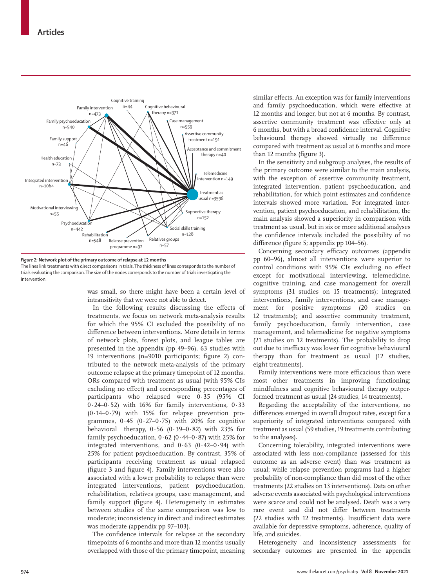

*Figure 2:* **Network plot of the primary outcome of relapse at 12 months**

The lines link treatments with direct comparisons in trials. The thickness of lines corresponds to the number of trials evaluating the comparison. The size of the nodes corresponds to the number of trials investigating the intervention.

> was small, so there might have been a certain level of intransitivity that we were not able to detect.

> In the following results discussing the effects of treatments, we focus on network meta-analysis results for which the 95% CI excluded the possibility of no difference between interventions. More details in terms of network plots, forest plots, and league tables are presented in the appendix (pp 49–96). 63 studies with 19 interventions (n=9010 participants; figure 2) contributed to the network meta-analysis of the primary outcome relapse at the primary timepoint of 12 months. ORs compared with treatment as usual (with 95% CIs excluding no effect) and corresponding percentages of participants who relapsed were 0·35 (95% CI 0·24–0·52) with 16% for family interventions, 0·33 (0·14–0·79) with 15% for relapse prevention programmes,  $0.45$  ( $0.27-0.75$ ) with 20% for cognitive behavioral therapy,  $0.56$  ( $0.39-0.82$ ) with 23% for family psychoeducation, 0·62 (0·44–0·87) with 25% for integrated interventions, and  $0.63$   $(0.42-0.94)$  with 25% for patient psychoeducation. By contrast, 35% of participants receiving treatment as usual relapsed (figure 3 and figure 4). Family interventions were also associated with a lower probability to relapse than were integrated interventions, patient psychoeducation, rehabilitation, relatives groups, case management, and family support (figure 4). Heterogeneity in estimates between studies of the same comparison was low to moderate; inconsistency in direct and indirect estimates was moderate (appendix pp 97–103).

> The confidence intervals for relapse at the secondary timepoints of 6 months and more than 12 months usually overlapped with those of the primary timepoint, meaning

similar effects. An exception was for family interventions and family psychoeducation, which were effective at 12 months and longer, but not at 6 months. By contrast, assertive community treatment was effective only at 6 months, but with a broad confidence interval. Cognitive behavioural therapy showed virtually no difference compared with treatment as usual at 6 months and more than 12 months (figure 3).

In the sensitivity and subgroup analyses, the results of the primary outcome were similar to the main analysis, with the exception of assertive community treatment, integrated intervention, patient psychoeducation, and rehabilitation, for which point estimates and confidence intervals showed more variation. For integrated intervention, patient psychoeducation, and rehabilitation, the main analysis showed a superiority in comparison with treatment as usual, but in six or more additional analyses the confidence intervals included the possibility of no difference (figure 5; appendix pp 104–56).

Concerning secondary efficacy outcomes (appendix pp 60–96), almost all interventions were superior to control conditions with 95% CIs excluding no effect except for motivational interviewing, telemedicine, cognitive training, and case management for overall symptoms (31 studies on 15 treatments); integrated interventions, family interventions, and case management for positive symptoms (20 studies on 12 treatments); and assertive community treatment, family psychoeducation, family intervention, case management, and telemedicine for negative symptoms (21 studies on 12 treatments). The probability to drop out due to inefficacy was lower for cognitive behavioural therapy than for treatment as usual (12 studies, eight treatments).

Family interventions were more efficacious than were most other treatments in improving functioning; mindfulness and cognitive behavioural therapy outperformed treatment as usual (24 studies, 14 treatments).

Regarding the acceptability of the interventions, no differences emerged in overall dropout rates, except for a superiority of integrated interventions compared with treatment as usual (59 studies, 19 treatments contributing to the analyses).

Concerning tolerability, integrated interventions were associated with less non-compliance (assessed for this outcome as an adverse event) than was treatment as usual; while relapse prevention programs had a higher probability of non-compliance than did most of the other treatments (22 studies on 13 interventions). Data on other adverse events associated with psychological interventions were scarce and could not be analysed. Death was a very rare event and did not differ between treatments (22 studies with 12 treatments). Insufficient data were available for depressive symptoms, adherence, quality of life, and suicides.

Heterogeneity and inconsistency assessments for secondary outcomes are presented in the appendix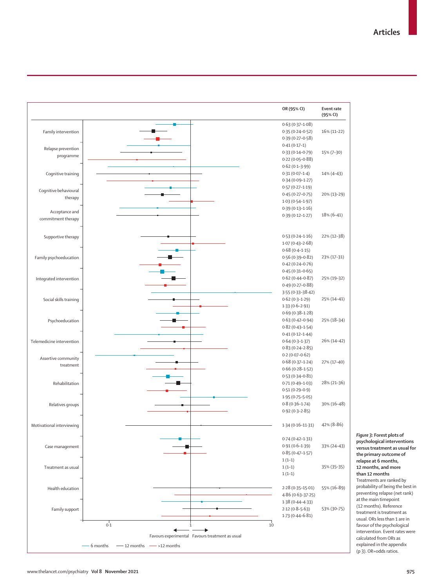

*Figure 3:* **Forest plots of psychological interventions versus treatment as usual for the primary outcome of relapse at 6 months, 12 months, and more than 12 months** Treatments are ranked by probability of being the best in preventing relapse (net rank) at the main timepoint (12 months). Reference treatment is treatment as usual. ORs less than 1 are in favour of the psychological intervention. Event rates were calculated from ORs as explained in the appendix (p 3). OR=odds ratios.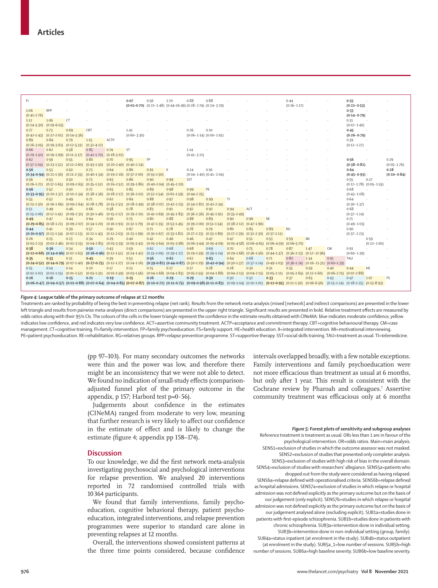| FI.                             |                                                 |                                                                                     |                                                   |             | 0.07                                                                                                                                                | 0.56                        | $2-70$                                                                 | 0.88                                          | 0.88 |                 |                                                   |                                                         | 0.44            |                                                                                                                                                                                                                                |                                     | 0.35            |                                 |                         |
|---------------------------------|-------------------------------------------------|-------------------------------------------------------------------------------------|---------------------------------------------------|-------------|-----------------------------------------------------------------------------------------------------------------------------------------------------|-----------------------------|------------------------------------------------------------------------|-----------------------------------------------|------|-----------------|---------------------------------------------------|---------------------------------------------------------|-----------------|--------------------------------------------------------------------------------------------------------------------------------------------------------------------------------------------------------------------------------|-------------------------------------|-----------------|---------------------------------|-------------------------|
|                                 |                                                 |                                                                                     |                                                   |             |                                                                                                                                                     |                             | $(0.01-0.70)$ $(0.21-1.48)$ $(0.44-16.49)$ $(0.28-2.74)$ $(0.24-3.29)$ |                                               |      |                 |                                                   |                                                         | $(0.16 - 1.17)$ |                                                                                                                                                                                                                                |                                     | $(0.22 - 0.53)$ |                                 |                         |
| 1.06                            | <b>RPP</b>                                      |                                                                                     |                                                   |             |                                                                                                                                                     |                             |                                                                        |                                               |      |                 |                                                   |                                                         |                 |                                                                                                                                                                                                                                |                                     | 0.33            |                                 |                         |
| $(0.41 - 2.76)$                 |                                                 |                                                                                     |                                                   |             |                                                                                                                                                     |                             |                                                                        |                                               |      |                 |                                                   |                                                         |                 |                                                                                                                                                                                                                                |                                     | $(0.14 - 0.79)$ |                                 |                         |
| 1.12                            | 1.06                                            | <b>CT</b>                                                                           |                                                   |             |                                                                                                                                                     |                             |                                                                        |                                               |      |                 |                                                   |                                                         |                 |                                                                                                                                                                                                                                |                                     | 0.31            |                                 |                         |
| $(0.24 - 5.30)$ $(0.19 - 6.03)$ |                                                 |                                                                                     |                                                   |             |                                                                                                                                                     |                             |                                                                        |                                               |      |                 |                                                   |                                                         |                 |                                                                                                                                                                                                                                |                                     | $(0.07 - 1.40)$ |                                 |                         |
| 0.77                            | 0.73                                            | 0.69                                                                                | CBT                                               | $\sim$      | $1-41$                                                                                                                                              | $\cdots$                    |                                                                        | 0.26                                          | 0.10 |                 |                                                   |                                                         |                 |                                                                                                                                                                                                                                |                                     | 0.45            |                                 |                         |
|                                 | $(0.42 - 1.43)$ $(0.27 - 2.01)$ $(0.14 - 3.36)$ |                                                                                     |                                                   |             | $(0.60 - 3.30)$                                                                                                                                     |                             |                                                                        | $(0.06 - 1.14) (0.00 - 1.91)$                 |      |                 |                                                   |                                                         |                 |                                                                                                                                                                                                                                |                                     | $(0.26 - 0.79)$ |                                 |                         |
| 0.89                            | 0.84                                            | 0.79                                                                                | 1.15                                              | <b>ACTP</b> |                                                                                                                                                     |                             |                                                                        |                                               |      |                 |                                                   |                                                         |                 |                                                                                                                                                                                                                                |                                     | 0.39            |                                 |                         |
|                                 |                                                 | $(0.26-3.05)$ $(0.19-3.61)$ $(0.12-5.31)$ $(0.32-4.12)$                             |                                                   |             |                                                                                                                                                     |                             |                                                                        |                                               |      |                 |                                                   |                                                         |                 |                                                                                                                                                                                                                                |                                     | $(0.12 - 1.27)$ |                                 |                         |
| 0.66                            | 0.62                                            | 0.58                                                                                | 0.85                                              | 0.74        | <b>ST</b>                                                                                                                                           |                             |                                                                        | 1.14                                          |      |                 |                                                   |                                                         |                 |                                                                                                                                                                                                                                |                                     |                 |                                 |                         |
|                                 |                                                 | $(0.29-1.50)$ $(0.19-1.99)$ $(0.11-3.17)$ $(0.42-1.70)$ $(0.18-3.02)$               |                                                   |             |                                                                                                                                                     |                             |                                                                        | $(0.41 - 3.21)$                               |      |                 |                                                   |                                                         |                 |                                                                                                                                                                                                                                |                                     |                 |                                 |                         |
| 0.62                            | 0.59                                            | 0.55                                                                                | 0.80                                              | 0.70        | 0.95                                                                                                                                                | <b>FP</b>                   |                                                                        |                                               |      |                 |                                                   |                                                         |                 |                                                                                                                                                                                                                                |                                     | 0.56            |                                 | 0.29                    |
|                                 |                                                 | $(0.37-1.04)$ $(0.23-1.52)$ $(0.12-2.60)$ $(0.43-1.50)$ $(0.20-2.40)$ $(0.40-2.24)$ |                                                   |             |                                                                                                                                                     |                             |                                                                        |                                               |      |                 |                                                   |                                                         |                 |                                                                                                                                                                                                                                |                                     | $(0.38 - 0.82)$ |                                 | $(0.05 - 1.76)$         |
| 0.56                            | 0.53                                            | 0.50                                                                                | 0.73<br>$(0.40-1.34)$ $(0.19-2.16)$ $(0.37-2.00)$ | 0.64        | 0.86                                                                                                                                                | 0.91                        | Ш                                                                      | 0.24                                          | 0.91 |                 |                                                   |                                                         |                 |                                                                                                                                                                                                                                |                                     | 0.64            |                                 | 0.28<br>$(0.10 - 0.84)$ |
| 0.56                            | $(0.34 - 0.94)$ $(0.21 - 1.36)$ $(0.11 - 2.35)$ | 0.50                                                                                |                                                   | 0.63        | 0.86                                                                                                                                                | $(0.55 - 1.50)$             |                                                                        | $(0.04 - 1.40)$ $(0.41 - 2.04)$<br><b>SST</b> |      |                 |                                                   |                                                         |                 |                                                                                                                                                                                                                                |                                     | $(0.45 - 0.93)$ | 0.27                            |                         |
|                                 | 0.53                                            |                                                                                     | 0.73                                              |             | $(0.26-1.21)$ $(0.17-1.65)$ $(0.09-2.65)$ $(0.35-1.52)$ $(0.16-2.52)$ $(0.39-1.86)$ $(0.40-2.04)$ $(0.45-2.20)$                                     | 0.90                        | 0.99                                                                   |                                               |      |                 |                                                   |                                                         |                 |                                                                                                                                                                                                                                |                                     | 0.55            | $(0.17 - 1.78)$ $(0.05 - 1.55)$ |                         |
| 0.56                            | 0.52                                            | 0.50                                                                                | 0.72                                              | 0.63        | 0.85                                                                                                                                                | 0.89                        | 0.98                                                                   | 0.99                                          | PE   |                 |                                                   |                                                         |                 |                                                                                                                                                                                                                                |                                     | 0.68            |                                 |                         |
|                                 |                                                 |                                                                                     |                                                   |             | $(0.33 - 0.95)$ $(0.20 - 1.37)$ $(0.10 - 2.34)$ $(0.38 - 1.36)$ $(0.18 - 2.17)$ $(0.36 - 2.02)$ $(0.52 - 1.54)$ $(0.61 - 1.59)$ $(0.44 - 2.25)$     |                             |                                                                        |                                               |      |                 |                                                   |                                                         |                 |                                                                                                                                                                                                                                |                                     | $(0.43 - 1.08)$ |                                 |                         |
| 0.55                            | 0.52                                            | 0.49                                                                                | 0.71                                              | 0.62        | 0.84                                                                                                                                                | 0.88                        | 0.97                                                                   | 0.98                                          | 0.99 | T1              |                                                   |                                                         |                 |                                                                                                                                                                                                                                |                                     | 0.64            |                                 |                         |
|                                 |                                                 |                                                                                     |                                                   |             | $(0.23-1.30)$ $(0.16-1.66)$ $(0.09-2.64)$ $(0.28-1.78)$ $(0.15-2.51)$ $(0.28-2.49)$ $(0.38-2.07)$ $(0.42-2.25)$                                     |                             |                                                                        | $(0.34 - 2.82)$ $(0.42 - 2.34)$               |      |                 |                                                   |                                                         |                 |                                                                                                                                                                                                                                |                                     | $(0.30 - 1.37)$ |                                 |                         |
| 0.51                            | 0.49                                            | 0.46                                                                                | 0.66                                              | 0.58        | 0.78                                                                                                                                                | 0.83                        | 0.91                                                                   | 0.92                                          | 0.92 | 0.94            | ACT                                               |                                                         |                 |                                                                                                                                                                                                                                |                                     | 0.68            |                                 |                         |
|                                 |                                                 |                                                                                     |                                                   |             | $(0.25-1.06)$ $(0.17-1.41)$ $(0.09-2.31)$ $(0.30-1.46)$ $(0.15-2.17)$ $(0.29-2.10)$ $(0.41-1.69)$ $(0.45-1.83)$ $(0.36-2.36)$ $(0.45-1.91)$         |                             |                                                                        |                                               |      | $(0.35 - 2.49)$ |                                                   |                                                         |                 |                                                                                                                                                                                                                                |                                     | $(0.37 - 1.24)$ |                                 |                         |
| 0.49                            | 0.47                                            | 0.44                                                                                | 0.64                                              | 0.56        | 0.75                                                                                                                                                | 0.80                        | 0.88                                                                   | 0.88                                          | 0.89 | 0.90            | 0.96                                              | <b>RE</b>                                               |                 |                                                                                                                                                                                                                                |                                     | 0.71            |                                 |                         |
|                                 |                                                 |                                                                                     |                                                   |             | $(0.29 - 0.85)$ $(0.18 - 1.21)$ $(0.09 - 2.07)$ $(0.34 - 1.20)$ $(0.16 - 1.91)$ $(0.32 - 1.79)$ $(0.47 - 1.35)$ $(0.53 - 1.45)$                     |                             |                                                                        | $(0.39 - 2.00)$ $(0.51 - 1.54)$               |      |                 | $(0.38-2.12)$ $(0.47-1.96)$                       |                                                         |                 |                                                                                                                                                                                                                                |                                     | $(0.49 - 1.03)$ |                                 |                         |
| 0.44                            | 0.41                                            | 0.39                                                                                | 0.57                                              | 0.50        | 0.67                                                                                                                                                | 0.71                        | 0.78                                                                   | 0.78                                          | 0.79 | 0.80            | 0.85                                              | 0.89                                                    | RG              |                                                                                                                                                                                                                                |                                     | 0.90            |                                 |                         |
|                                 |                                                 | $(0.20-0.97)$ $(0.13-1.34)$ $(0.07-2.13)$ $(0.22-1.43)$ $(0.12-2.03)$ $(0.23-1.99)$ |                                                   |             |                                                                                                                                                     | $(0.30-1.67)$ $(0.33-1.82)$ |                                                                        | $(0.27 - 2.23)$ $(0.33 - 1.89)$               |      |                 | $(0.27-2.39)$ $(0.32-2.30)$ $(0.37-2.11)$         |                                                         |                 |                                                                                                                                                                                                                                |                                     | $(0.37 - 2.23)$ |                                 |                         |
| 0.26                            | 0.25                                            | 0.23                                                                                | 0.34                                              | 0.29        | 0.40                                                                                                                                                | 0.42                        | 0.46                                                                   | 0.46                                          | 0.47 | 0.47            | 0.51                                              | 0.53                                                    | 0.59            | MI                                                                                                                                                                                                                             |                                     |                 | 0.59                            |                         |
|                                 |                                                 |                                                                                     |                                                   |             | $(0.03-2.23)$ $(0.02-2.46)$ $(0.02-3.15)$ $(0.04-2.85)$ $(0.03-3.35)$ $(0.05-3.41)$ $(0.05-3.64)$ $(0.05-3.98)$ $(0.06-3.44)$ $(0.05-4.09)$         |                             |                                                                        |                                               |      |                 |                                                   | $(0.05-4.58)$ $(0.06-4.65)$ $(0.06-4.59)$ $(0.06-5.70)$ |                 |                                                                                                                                                                                                                                |                                     |                 | $(0.22 - 1.60)$                 |                         |
| 0.38                            | 0.36                                            | 0.34                                                                                | 0.50                                              | 0.43        | 0.59                                                                                                                                                | 0.62                        | 0.68                                                                   | 0.68                                          | 0.69 | 0.70            | 0.75                                              | 0.78                                                    | 0.87            | 1.47                                                                                                                                                                                                                           | CM.                                 | 0.91            |                                 |                         |
|                                 |                                                 |                                                                                     |                                                   |             |                                                                                                                                                     |                             |                                                                        |                                               |      |                 |                                                   |                                                         |                 | (0.22-0.68) (0.14-0.96) (0.07-1.63) (0.26-0.96) (0.12-1.51) (0.24-1.42) (0.35-1.09) (0.39-1.17) (0.29-1.59) (0.39-1.24) (0.29-1.68) (0.36-1.56) (0.44-1.37) (0.36-2.13) (0.17-12.96)                                           |                                     | $(0.60 - 1.39)$ |                                 |                         |
| 0.35                            | 0.33                                            | 0.31                                                                                | 0.45                                              | 0.39        | 0.53                                                                                                                                                | 0.56                        | 0.62                                                                   | 0.62                                          | 0.63 | 0.64            | 0.68                                              | 0.71                                                    | 0.80            | 1.34                                                                                                                                                                                                                           | 0.91                                | TAU             |                                 |                         |
|                                 |                                                 |                                                                                     |                                                   |             |                                                                                                                                                     |                             |                                                                        | 0.27                                          | 0.28 | 0.28            |                                                   |                                                         |                 | $(0.24-0.52)$ $(0.14-0.79)$ $(0.07-1.40)$ $(0.27-0.75)$ $(0.12-1.27)$ $(0.24-1.16)$ $(0.39-0.82)$ $(0.44-0.87)$ $(0.30-1.29)$ $(0.42-0.94)$ $(0.30-1.37)$ $(0.37-1.24)$ $(0.49-1.03)$ $(0.36-1.74)$ $(0.16-11.31)$ $(0.60-1.3$ |                                     |                 |                                 |                         |
| 0.15                            | 0.14                                            | 0.14                                                                                | 0.20                                              | 0.17        | 0.23<br>$(0.02-1.02)$ $(0.02-1.15)$ $(0.01-1.52)$ $(0.03-1.31)$ $(0.02-1.59)$ $(0.03-1.56)$ $(0.04-1.68)$ $(0.04-1.83)$ $(0.05-1.55)$ $(0.04-1.88)$ | 0.25                        | 0.27                                                                   |                                               |      |                 | 0.30<br>$(0.04-2.13)$ $(0.04-2.15)$ $(0.05-2.11)$ | 0.31                                                    | 0.35            | 0.59<br>$(0.05-2.65)$ $(0.22-1.60)$                                                                                                                                                                                            | 0.40<br>$(0.06-2.75)$ $(0.07-2.88)$ | 0.44            | <b>HE</b>                       |                         |
| 0.16                            | 0.16                                            | 0.15                                                                                | 0.21                                              | 0.19        | 0.25                                                                                                                                                | 0.26                        | 0.29                                                                   | 0.29                                          | 0.30 | 0.30            | 0.32                                              | 0.33                                                    | 0.37            | 0.63                                                                                                                                                                                                                           | 0.43                                | 0.47            | $1-07$                          | <b>FS</b>               |
|                                 |                                                 |                                                                                     |                                                   |             |                                                                                                                                                     |                             |                                                                        |                                               |      |                 |                                                   |                                                         |                 | $(0.06-0.47)$ $(0.04-0.57)$ $(0.02-0.88)$ $(0.07-0.64)$ $(0.04-0.85)$ $(0.07-0.87)$ $(0.10-0.72)$ $(0.11-0.75)$ $(0.09-0.98)$ $(0.11-0.83)$ $(0.09-1.04)$ $(0.10-1.01)$ $(0.12-0.95)$ $(0.11-1.30)$ $(0.06-6.56)$ $(0.15-1.24$ |                                     |                 |                                 |                         |
|                                 |                                                 |                                                                                     |                                                   |             |                                                                                                                                                     |                             |                                                                        |                                               |      |                 |                                                   |                                                         |                 |                                                                                                                                                                                                                                |                                     |                 |                                 |                         |

#### *Figure 4:* **League table of the primary outcome of relapse at 12 months**

Treatments are ranked by probability of being the best in preventing relapse (net rank). Results from the network meta-analysis (mixed [network] and indirect comparisons) are presented in the lower left triangle and results from pairwise meta-analyses (direct comparisons) are presented in the upper right triangle. Significant results are presented in bold. Relative treatment effects are measured by odds ratios along with their 95% CIs. The colours of the cells in the lower triangle represent the confidence in the estimate results obtained with CINeMA: blue indicates moderate confidence, yellow indicates low confidence, and red indicates very low confidence. ACT=assertive community treatment. ACTP=acceptance and commitment therapy. CBT=cognitive behavioural therapy. CM=case management. CT=cognitive training. FI=family intervention. FP=family psychoeducation. FS=family support. HE=health education. II=integrated intervention. MI=motivational interviewing. PE=patient psychoeducation. RE=rehabilitation. RG=relatives groups. RPP=relapse prevention programme. ST=supportive therapy. SST=social skills training. TAU=treatment as usual. TI=telemedicine.

> (pp 97–103). For many secondary outcomes the networks were thin and the power was low, and therefore there might be an inconsistency that we were not able to detect. We found no indication of small-study effects (comparisonadjusted funnel plot of the primary outcome in the appendix, p 157; Harbord test  $p=0.56$ ).

> Judgements about confidence in the estimates (CINeMA) ranged from moderate to very low, meaning that further research is very likely to affect our confidence in the estimate of effect and is likely to change the estimate (figure 4; appendix pp 158–174).

## **Discussion**

To our knowledge, we did the first network meta-analysis investigating psychosocial and psychological interventions for relapse prevention. We analysed 20 interventions reported in 72 randomised controlled trials with 10364 participants.

We found that family interventions, family psychoeducation, cognitive behavioral therapy, patient psychoeducation, integrated interventions, and relapse prevention programmes were superior to standard care alone in preventing relapses at 12 months.

Overall, the interventions showed consistent patterns at the three time points considered, because confidence intervals overlapped broadly, with a few notable exceptions. Family interventions and family psychoeducation were not more efficacious than treatment as usual at 6 months, but only after 1 year. This result is consistent with the Cochrane review by Pharoah and colleagues.<sup>7</sup> Assertive community treatment was efficacious only at 6 months

*Figure 5:* **Forest plots of sensitivity and subgroup analyses** Reference treatment is treatment as usual. ORs less than 1 are in favour of the psychological intervention. OR=odds ratios. Main=main analysis. SENS1=exclusion of studies in which the outcome assessor was not masked. SENS2=exclusion of studies that presented only completer analysis. SENS3=exclusion of studies with high risk of bias in the overall domain. SENS4=exclusion of studies with researchers' allegiance. SENS5a=patients who dropped out from the study were considered as having relapsed. SENS6a=relapse defined with operationalised criteria. SENS6b=relapse defined as hospital admissions. SENS7a=exclusion of studies in which relapse or hospital admission was not defined explicitly as the primary outcome but on the basis of our judgement (only explicit). SENS7b=studies in which relapse or hospital admission was not defined explicitly as the primary outcome but on the basis of our judgement analysed alone (excluding explicit). SUB1a=studies done in patients with first-episode schizophrenia. SUB1b=studies done in patients with chronic schizophrenia. SUB3a=intervention done in individual setting. SUB3b=intervention done in non-individual setting (group, family). SUB4a=status inpatient (at enrolment in the study). SUB4b=status outpatient (at enrolment in the study). SUB5a\_1=low number of sessions. SUB5b=high number of sessions. SUB6a=high baseline severity. SUB6b=low baseline severity.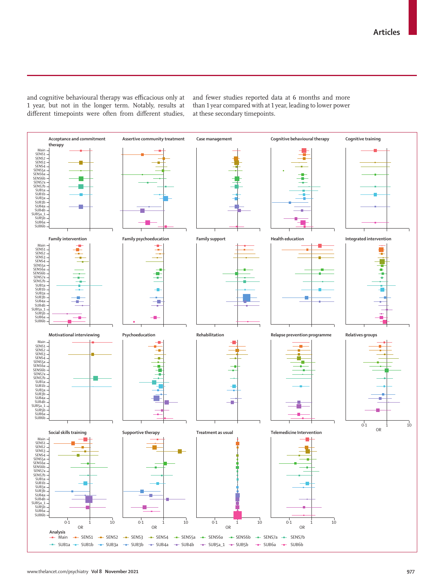and cognitive behavioural therapy was efficacious only at 1 year, but not in the longer term. Notably, results at different timepoints were often from different studies,

and fewer studies reported data at 6 months and more than 1 year compared with at 1 year, leading to lower power at these secondary timepoints.

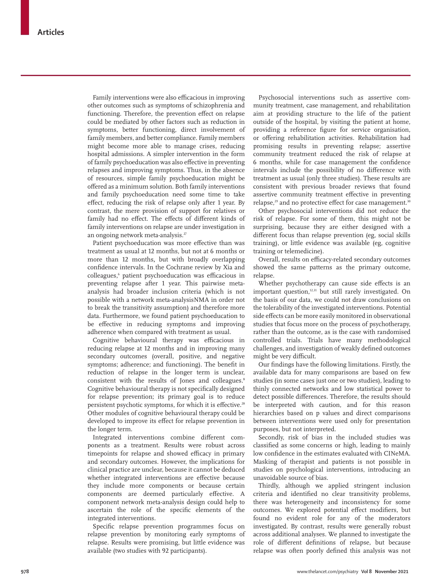Family interventions were also efficacious in improving other outcomes such as symptoms of schizophrenia and functioning. Therefore, the prevention effect on relapse could be mediated by other factors such as reduction in symptoms, better functioning, direct involvement of family members, and better compliance. Family members might become more able to manage crises, reducing hospital admissions. A simpler intervention in the form of family psychoeducation was also effective in preventing relapses and improving symptoms. Thus, in the absence of resources, simple family psychoeducation might be offered as a minimum solution. Both family interventions and family psychoeducation need some time to take effect, reducing the risk of relapse only after 1 year. By contrast, the mere provision of support for relatives or family had no effect. The effects of different kinds of family interventions on relapse are under investigation in an ongoing network meta-analysis.<sup>27</sup>

Patient psychoeducation was more effective than was treatment as usual at 12 months, but not at 6 months or more than 12 months**,** but with broadly overlapping confidence intervals. In the Cochrane review by Xia and colleagues,6 patient psychoeducation was efficacious in preventing relapse after 1 year. This pairwise metaanalysis had broader inclusion criteria (which is not possible with a network meta-analysisNMA in order not to break the transitivity assumption) and therefore more data. Furthermore, we found patient psychoeducation to be effective in reducing symptoms and improving adherence when compared with treatment as usual.

Cognitive behavioural therapy was efficacious in reducing relapse at 12 months and in improving many secondary outcomes (overall, positive, and negative symptoms; adherence; and functioning). The benefit in reduction of relapse in the longer term is unclear, consistent with the results of Jones and colleagues.<sup>8</sup> Cognitive behavioural therapy is not specifically designed for relapse prevention; its primary goal is to reduce persistent psychotic symptoms, for which it is effective.<sup>28</sup> Other modules of cognitive behavioural therapy could be developed to improve its effect for relapse prevention in the longer term.

Integrated interventions combine different components as a treatment. Results were robust across timepoints for relapse and showed efficacy in primary and secondary outcomes. However, the implications for clinical practice are unclear, because it cannot be deduced whether integrated interventions are effective because they include more components or because certain components are deemed particularly effective. A component network meta-analysis design could help to ascertain the role of the specific elements of the integrated interventions.

Specific relapse prevention programmes focus on relapse prevention by monitoring early symptoms of relapse. Results were promising, but little evidence was available (two studies with 92 participants).

Psychosocial interventions such as assertive community treatment, case management, and rehabilitation aim at providing structure to the life of the patient outside of the hospital, by visiting the patient at home, providing a reference figure for service organisation, or offering rehabilitation activities. Rehabilitation had promising results in preventing relapse; assertive community treatment reduced the risk of relapse at 6 months, while for case management the confidence intervals include the possibility of no difference with treatment as usual (only three studies). These results are consistent with previous broader reviews that found assertive community treatment effective in preventing relapse,<sup>29</sup> and no protective effect for case management.<sup>30</sup>

Other psychosocial interventions did not reduce the risk of relapse. For some of them, this might not be surprising, because they are either designed with a different focus than relapse prevention (eg, social skills training), or little evidence was available (eg, cognitive training or telemedicine).

Overall, results on efficacy-related secondary outcomes showed the same patterns as the primary outcome, relapse.

Whether psychotherapy can cause side effects is an important question,<sup>12,31</sup> but still rarely investigated. On the basis of our data, we could not draw conclusions on the tolerability of the investigated interventions. Potential side effects can be more easily monitored in observational studies that focus more on the process of psychotherapy, rather than the outcome, as is the case with randomised controlled trials. Trials have many methodological challenges, and investigation of weakly defined outcomes might be very difficult.

Our findings have the following limitations. Firstly, the available data for many comparisons are based on few studies (in some cases just one or two studies), leading to thinly connected networks and low statistical power to detect possible differences. Therefore, the results should be interpreted with caution, and for this reason hierarchies based on p values and direct comparisons between interventions were used only for presentation purposes, but not interpreted.

Secondly, risk of bias in the included studies was classified as some concerns or high, leading to mainly low confidence in the estimates evaluated with CINeMA. Masking of therapist and patients is not possible in studies on psychological interventions, introducing an unavoidable source of bias.

Thirdly, although we applied stringent inclusion criteria and identified no clear transitivity problems, there was heterogeneity and inconsistency for some outcomes. We explored potential effect modifiers, but found no evident role for any of the moderators investigated. By contrast, results were generally robust across additional analyses. We planned to investigate the role of different definitions of relapse, but because relapse was often poorly defined this analysis was not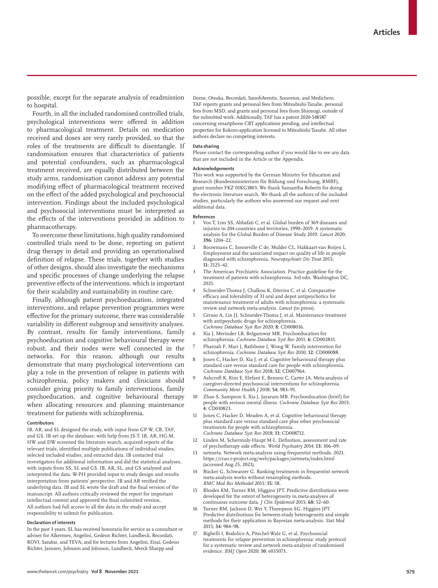possible, except for the separate analysis of readmission to hospital.

Fourth, in all the included randomised controlled trials, psychological interventions were offered in addition to pharmacological treatment. Details on medication received and doses are very rarely provided, so that the roles of the treatments are difficult to disentangle. If randomisation ensures that characteristics of patients and potential confounders, such as pharmacological treatment received, are equally distributed between the study arms, randomisation cannot address any potential modifying effect of pharmacological treatment received on the effect of the added psychological and psychosocial intervention. Findings about the included psychological and psychosocial interventions must be interpreted as the effects of the interventions provided in addition to pharmacotherapy.

To overcome these limitations, high quality randomised controlled trials need to be done, reporting on patient drug therapy in detail and providing an operationalised definition of relapse. These trials, together with studies of other designs, should also investigate the mechanisms and specific processes of change underlying the relapse preventive effects of the interventions, which is important for their scalability and sustainability in routine care.

Finally, although patient psychoeducation, integrated interventions, and relapse prevention programmes were effective for the primary outcome, there was considerable variability in different subgroup and sensitivity analyses. By contrast, results for family interventions, family psychoeducation and cognitive behavioural therapy were robust, and their nodes were well connected in the networks. For this reason, although our results demonstrate that many psychological interventions can play a role in the prevention of relapse in patients with schizophrenia, policy makers and clinicians should consider giving priority to family interventions, family psychoeducation, and cognitive behavioural therapy when allocating resources and planning maintenance treatment for patients with schizophrenia.

#### **Contributors**

IB, AR, and SL designed the study, with input from GP-W, CB, TAF, and GS. IB set up the database, with help from JS-T. IB, AR, HG-M, HW and DW screened the literature search, acquired reports of the relevant trials, identified multiple publications of individual studies, selected included studies, and extracted data. IB contacted trial investigators for additional information and did the statistical analyses, with inputs from SS, SL and GS. IB, AR, SL, and GS analysed and interpreted the data. W-PH provided input to study design and results interpretation from patients' perspective. IB and AR verified the underlying data. IB and SL wrote the draft and the final version of the manuscript. All authors critically reviewed the report for important intellectual content and approved the final submitted version. All authors had full access to all the data in the study and accept responsibility to submit for publication.

#### **Declaration of interests**

In the past 3 years, SL has received honoraria for service as a consultant or adviser for Alkermes, Angelini, Gedeon Richter, Lundbeck, Recordati, ROVI, Sandoz, and TEVA; and for lectures from Angelini, Eisai, Gedeon Richter, Janssen, Johnson and Johnson, Lundbeck, Merck Sharpp and

Dome, Otsuka, Recordati, SanofiAventis, Sunovion, and Medichem. TAF reports grants and personal fees from Mitsubishi-Tanabe, personal fees from MSD, and grants and personal fees from Shionogi, outside of the submitted work. Additionally, TAF has a patent 2020-548587 concerning smartphone CBT applications pending, and intellectual properties for Kokoro-application licensed to Mitsubishi-Tanabe. All other authors declare no competing interests.

#### **Data sharing**

Please contact the corresponding author if you would like to see any data that are not included in the Article or the Appendix.

#### **Acknowledgements**

This work was supported by the German Ministry for Education and Research (Bundesministerium für Bildung und Forschung, BMBF), grant number FKZ 01KG1803. We thank Samantha Roberts for doing the electronic literature search. We thank all the authors of the included studies, particularly the authors who answered our request and sent additional data.

#### **References**

- 1 Vos T, Lim SS, Abbafati C, et al. Global burden of 369 diseases and injuries in 204 countries and territories, 1990–2019. A systematic analysis for the Global Burden of Disease Study 2019. *Lancet* 2020; **396:** 1204–22.
- 2 Bouwmans C, Sonneville C de, Mulder CL, Hakkaart-van Roijen L. Employment and the associated impact on quality of life in people diagnosed with schizophrenia. *Neuropsychiatr Dis Treat* 2015; **11:** 2125–42.
- The American Psychiatric Association. Practice guideline for the treatment of patients with schizophrenia. 3rd edn. Washington DC, 2021.
- 4 Schneider-Thoma J, Chalkou K, Dörries C, et al. Comparative efficacy and tolerability of 31 oral and depot antipsychotics for maintenance treatment of adults with schizophrenia: a systematic review and network meta-analysis. *Lancet* (in press).
- 5 Ceraso A, Lin JJ, Schneider-Thoma J, et al. Maintenance treatment with antipsychotic drugs for schizophrenia. *Cochrane Database Syst Rev* 2020; **8:** CD008016.
- 6 Xia J, Merinder LB, Belgamwar MR. Psychoeducation for schizophrenia. *Cochrane Database Syst Rev* 2011; **6:** CD002831.
- 7 Pharoah F, Mari J, Rathbone J, Wong W. Family intervention for schizophrenia. *Cochrane Database Syst Rev* 2010; **12:** CD000088.
- Jones C, Hacker D, Xia J, et al. Cognitive behavioural therapy plus standard care versus standard care for people with schizophrenia. *Cochrane Database Syst Rev* 2018; **12:** CD007964.
- 9 Ashcroft K, Kim E, Elefant E, Benson C, Carter JA. Meta-analysis of caregiver-directed psychosocial interventions for schizophrenia. *Community Ment Health J* 2018; **54:** 983–91.
- 10 Zhao S, Sampson S, Xia J, Jayaram MB. Psychoeducation (brief) for people with serious mental illness. *Cochrane Database Syst Rev* 2015; **4:** CD010823.
- 11 Jones C, Hacker D, Meaden A, et al. Cognitive behavioural therapy plus standard care versus standard care plus other psychosocial treatments for people with schizophrenia. *Cochrane Database Syst Rev* 2018; **11:** CD008712.
- 12 Linden M, Schermuly-Haupt M-L. Definition, assessment and rate of psychotherapy side effects. *World Psychiatry* 2014; **13:** 306–09.
- 13 netmeta. Network meta-analysis using frequentist methods. 2021. https://cran.r-project.org/web/packages/netmeta/index.html (accessed Aug 25, 2021).
- 14 Rücker G, Schwarzer G. Ranking treatments in frequentist network meta-analysis works without resampling methods. *BMC Med Res Methodol* 2015; **15:** 58.
- 15 Rhodes KM, Turner RM, Higgins JPT. Predictive distributions were developed for the extent of heterogeneity in meta-analyses of continuous outcome data. *J Clin Epidemiol* 2015; **68:** 52–60.
- Turner RM, Jackson D, Wei Y, Thompson SG, Higgins JPT. Predictive distributions for between-study heterogeneity and simple methods for their application in Bayesian meta-analysis. *Stat Med*  2015; **34:** 984–98.
- 17 Bighelli I, Rodolico A, Pitschel-Walz G, et al. Psychosocial treatments for relapse prevention in schizophrenia: study protocol for a systematic review and network meta-analysis of randomised evidence. *BMJ Open* 2020; **10:** e035073.